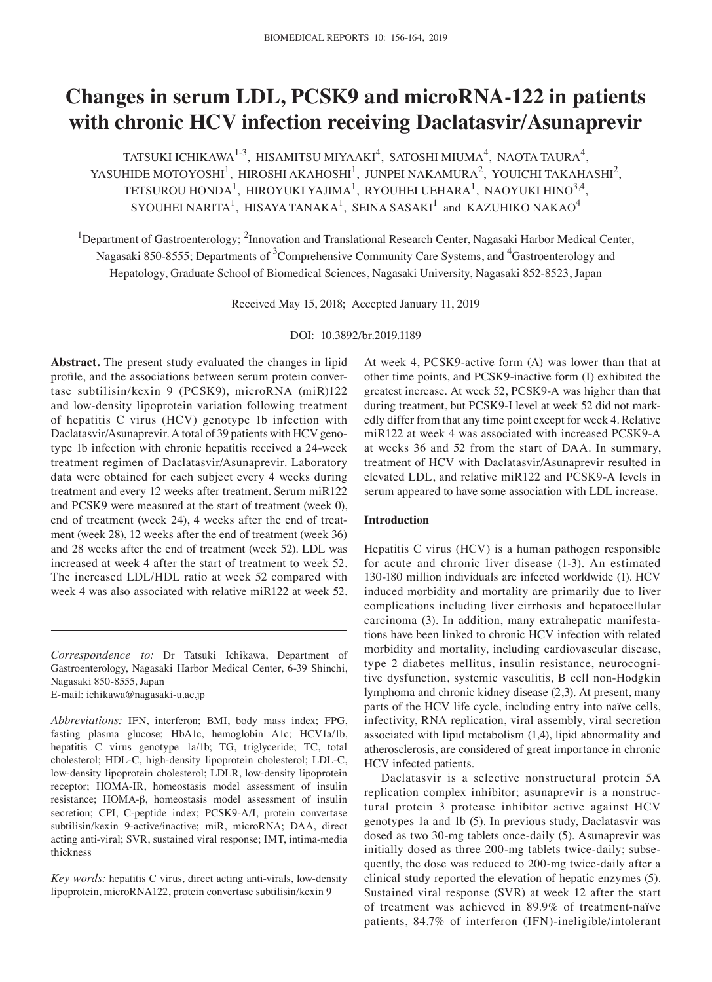# **Changes in serum LDL, PCSK9 and microRNA‑122 in patients with chronic HCV infection receiving Daclatasvir/Asunaprevir**

TATSUKI ICHIKAWA $^{1-3}$ , HISAMITSU MIYAAKI $^4$ , SATOSHI MIUMA $^4$ , NAOTA TAURA $^4$ , YASUHIDE MOTOYOSHI<sup>1</sup>, HIROSHI AKAHOSHI<sup>1</sup>, JUNPEI NAKAMURA<sup>2</sup>, YOUICHI TAKAHASHI<sup>2</sup>, TETSUROU HONDA<sup>1</sup>, HIROYUKI YAJIMA<sup>1</sup>, RYOUHEI UEHARA<sup>1</sup>, NAOYUKI HINO<sup>3,4</sup>, SYOUHEI NARITA<sup>1</sup>, HISAYA TANAKA<sup>1</sup>, SEINA SASAKI<sup>1</sup> and KAZUHIKO NAKAO<sup>4</sup>

<sup>1</sup>Department of Gastroenterology; <sup>2</sup>Innovation and Translational Research Center, Nagasaki Harbor Medical Center, Nagasaki 850-8555; Departments of <sup>3</sup>Comprehensive Community Care Systems, and <sup>4</sup>Gastroenterology and Hepatology, Graduate School of Biomedical Sciences, Nagasaki University, Nagasaki 852‑8523, Japan

Received May 15, 2018; Accepted January 11, 2019

DOI: 10.3892/br.2019.1189

**Abstract.** The present study evaluated the changes in lipid profile, and the associations between serum protein convertase subtilisin/kexin 9 (PCSK9), microRNA (miR)122 and low‑density lipoprotein variation following treatment of hepatitis C virus (HCV) genotype 1b infection with Daclatasvir/Asunaprevir. A total of 39 patients with HCV genotype 1b infection with chronic hepatitis received a 24‑week treatment regimen of Daclatasvir/Asunaprevir. Laboratory data were obtained for each subject every 4 weeks during treatment and every 12 weeks after treatment. Serum miR122 and PCSK9 were measured at the start of treatment (week 0), end of treatment (week 24), 4 weeks after the end of treatment (week 28), 12 weeks after the end of treatment (week 36) and 28 weeks after the end of treatment (week 52). LDL was increased at week 4 after the start of treatment to week 52. The increased LDL/HDL ratio at week 52 compared with week 4 was also associated with relative miR122 at week 52.

*Correspondence to:* Dr Tatsuki Ichikawa, Department of Gastroenterology, Nagasaki Harbor Medical Center, 6‑39 Shinchi, Nagasaki 850‑8555, Japan E‑mail: ichikawa@nagasaki‑u.ac.jp

*Abbreviations:* IFN, interferon; BMI, body mass index; FPG, fasting plasma glucose; HbA1c, hemoglobin A1c; HCV1a/1b, hepatitis C virus genotype 1a/1b; TG, triglyceride; TC, total cholesterol; HDL-C, high-density lipoprotein cholesterol; LDL-C, low‑density lipoprotein cholesterol; LDLR, low‑density lipoprotein receptor; HOMA‑IR, homeostasis model assessment of insulin resistance; HOMA‑β, homeostasis model assessment of insulin secretion; CPI, C-peptide index; PCSK9-A/I, protein convertase subtilisin/kexin 9-active/inactive; miR, microRNA; DAA, direct acting anti-viral; SVR, sustained viral response; IMT, intima-media thickness

*Key words:* hepatitis C virus, direct acting anti-virals, low-density lipoprotein, microRNA122, protein convertase subtilisin/kexin 9

At week 4, PCSK9‑active form (A) was lower than that at other time points, and PCSK9‑inactive form (I) exhibited the greatest increase. At week 52, PCSK9‑A was higher than that during treatment, but PCSK9‑I level at week 52 did not markedly differ from that any time point except for week 4. Relative miR122 at week 4 was associated with increased PCSK9‑A at weeks 36 and 52 from the start of DAA. In summary, treatment of HCV with Daclatasvir/Asunaprevir resulted in elevated LDL, and relative miR122 and PCSK9‑A levels in serum appeared to have some association with LDL increase.

## **Introduction**

Hepatitis C virus (HCV) is a human pathogen responsible for acute and chronic liver disease (1‑3). An estimated 130‑180 million individuals are infected worldwide (1). HCV induced morbidity and mortality are primarily due to liver complications including liver cirrhosis and hepatocellular carcinoma (3). In addition, many extrahepatic manifestations have been linked to chronic HCV infection with related morbidity and mortality, including cardiovascular disease, type 2 diabetes mellitus, insulin resistance, neurocognitive dysfunction, systemic vasculitis, B cell non‑Hodgkin lymphoma and chronic kidney disease (2,3). At present, many parts of the HCV life cycle, including entry into naïve cells, infectivity, RNA replication, viral assembly, viral secretion associated with lipid metabolism (1,4), lipid abnormality and atherosclerosis, are considered of great importance in chronic HCV infected patients.

Daclatasvir is a selective nonstructural protein 5A replication complex inhibitor; asunaprevir is a nonstructural protein 3 protease inhibitor active against HCV genotypes 1a and 1b (5). In previous study, Daclatasvir was dosed as two 30‑mg tablets once‑daily (5). Asunaprevir was initially dosed as three 200-mg tablets twice-daily; subsequently, the dose was reduced to 200‑mg twice‑daily after a clinical study reported the elevation of hepatic enzymes (5). Sustained viral response (SVR) at week 12 after the start of treatment was achieved in 89.9% of treatment-naïve patients, 84.7% of interferon (IFN)‑ineligible/intolerant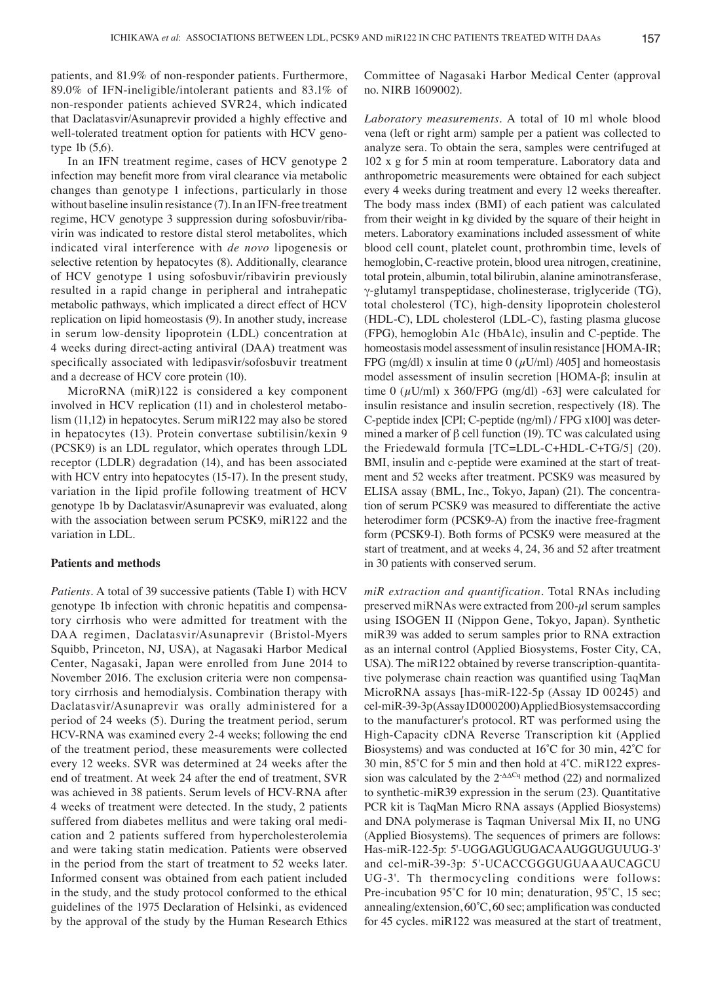patients, and 81.9% of non‑responder patients. Furthermore, 89.0% of IFN‑ineligible/intolerant patients and 83.1% of non‑responder patients achieved SVR24, which indicated that Daclatasvir/Asunaprevir provided a highly effective and well-tolerated treatment option for patients with HCV genotype 1b (5,6).

In an IFN treatment regime, cases of HCV genotype 2 infection may benefit more from viral clearance via metabolic changes than genotype 1 infections, particularly in those without baseline insulin resistance (7). In an IFN-free treatment regime, HCV genotype 3 suppression during sofosbuvir/ribavirin was indicated to restore distal sterol metabolites, which indicated viral interference with *de novo* lipogenesis or selective retention by hepatocytes (8). Additionally, clearance of HCV genotype 1 using sofosbuvir/ribavirin previously resulted in a rapid change in peripheral and intrahepatic metabolic pathways, which implicated a direct effect of HCV replication on lipid homeostasis (9). In another study, increase in serum low‑density lipoprotein (LDL) concentration at 4 weeks during direct‑acting antiviral (DAA) treatment was specifically associated with ledipasvir/sofosbuvir treatment and a decrease of HCV core protein (10).

MicroRNA (miR)122 is considered a key component involved in HCV replication (11) and in cholesterol metabolism (11,12) in hepatocytes. Serum miR122 may also be stored in hepatocytes (13). Protein convertase subtilisin/kexin 9 (PCSK9) is an LDL regulator, which operates through LDL receptor (LDLR) degradation (14), and has been associated with HCV entry into hepatocytes (15-17). In the present study, variation in the lipid profile following treatment of HCV genotype 1b by Daclatasvir/Asunaprevir was evaluated, along with the association between serum PCSK9, miR122 and the variation in LDL.

#### **Patients and methods**

*Patients.* A total of 39 successive patients (Table I) with HCV genotype 1b infection with chronic hepatitis and compensatory cirrhosis who were admitted for treatment with the DAA regimen, Daclatasvir/Asunaprevir (Bristol-Myers Squibb, Princeton, NJ, USA), at Nagasaki Harbor Medical Center, Nagasaki, Japan were enrolled from June 2014 to November 2016. The exclusion criteria were non compensatory cirrhosis and hemodialysis. Combination therapy with Daclatasvir/Asunaprevir was orally administered for a period of 24 weeks (5). During the treatment period, serum HCV‑RNA was examined every 2‑4 weeks; following the end of the treatment period, these measurements were collected every 12 weeks. SVR was determined at 24 weeks after the end of treatment. At week 24 after the end of treatment, SVR was achieved in 38 patients. Serum levels of HCV‑RNA after 4 weeks of treatment were detected. In the study, 2 patients suffered from diabetes mellitus and were taking oral medication and 2 patients suffered from hypercholesterolemia and were taking statin medication. Patients were observed in the period from the start of treatment to 52 weeks later. Informed consent was obtained from each patient included in the study, and the study protocol conformed to the ethical guidelines of the 1975 Declaration of Helsinki, as evidenced by the approval of the study by the Human Research Ethics Committee of Nagasaki Harbor Medical Center (approval no. NIRB 1609002).

*Laboratory measurements.* A total of 10 ml whole blood vena (left or right arm) sample per a patient was collected to analyze sera. To obtain the sera, samples were centrifuged at 102 x g for 5 min at room temperature. Laboratory data and anthropometric measurements were obtained for each subject every 4 weeks during treatment and every 12 weeks thereafter. The body mass index (BMI) of each patient was calculated from their weight in kg divided by the square of their height in meters. Laboratory examinations included assessment of white blood cell count, platelet count, prothrombin time, levels of hemoglobin, C-reactive protein, blood urea nitrogen, creatinine, total protein, albumin, total bilirubin, alanine aminotransferase, γ‑glutamyl transpeptidase, cholinesterase, triglyceride (TG), total cholesterol (TC), high-density lipoprotein cholesterol (HDL‑C), LDL cholesterol (LDL‑C), fasting plasma glucose (FPG), hemoglobin A1c (HbA1c), insulin and C‑peptide. The homeostasis model assessment of insulin resistance [HOMA-IR; FPG (mg/dl) x insulin at time 0 ( $\mu$ U/ml) /405] and homeostasis model assessment of insulin secretion [HOMA‑β; insulin at time 0  $(\mu$ U/ml) x 360/FPG (mg/dl) -63] were calculated for insulin resistance and insulin secretion, respectively (18). The C‑peptide index [CPI; C‑peptide (ng/ml) / FPG x100] was determined a marker of  $\beta$  cell function (19). TC was calculated using the Friedewald formula [TC=LDL-C+HDL-C+TG/5] (20). BMI, insulin and c-peptide were examined at the start of treatment and 52 weeks after treatment. PCSK9 was measured by ELISA assay (BML, Inc., Tokyo, Japan) (21). The concentration of serum PCSK9 was measured to differentiate the active heterodimer form (PCSK9-A) from the inactive free-fragment form (PCSK9‑I). Both forms of PCSK9 were measured at the start of treatment, and at weeks 4, 24, 36 and 52 after treatment in 30 patients with conserved serum.

*miR extraction and quantification.* Total RNAs including preserved miRNAs were extracted from  $200$ - $\mu$ l serum samples using ISOGEN II (Nippon Gene, Tokyo, Japan). Synthetic miR39 was added to serum samples prior to RNA extraction as an internal control (Applied Biosystems, Foster City, CA, USA). The miR122 obtained by reverse transcription-quantitative polymerase chain reaction was quantified using TaqMan MicroRNA assays [has‑miR‑122‑5p (Assay ID 00245) and cel‑miR‑39‑3p (AssayID000200) Applied Biosystemsaccording to the manufacturer's protocol. RT was performed using the High‑Capacity cDNA Reverse Transcription kit (Applied Biosystems) and was conducted at 16˚C for 30 min, 42˚C for 30 min, 85˚C for 5 min and then hold at 4˚C. miR122 expression was calculated by the  $2-\Delta\Delta Cq$  method (22) and normalized to synthetic-miR39 expression in the serum (23). Quantitative PCR kit is TaqMan Micro RNA assays (Applied Biosystems) and DNA polymerase is Taqman Universal Mix II, no UNG (Applied Biosystems). The sequences of primers are follows: Has‑miR‑122‑5p: 5'‑UGGAGUGUGACAAUGGUGUUUG‑3' and cel-miR-39-3p: 5'-UCACCGGGUGUAAAUCAGCU UG‑3'. Th thermocycling conditions were follows: Pre-incubation 95°C for 10 min; denaturation, 95°C, 15 sec; annealing/extension, 60˚C, 60 sec; amplification was conducted for 45 cycles. miR122 was measured at the start of treatment,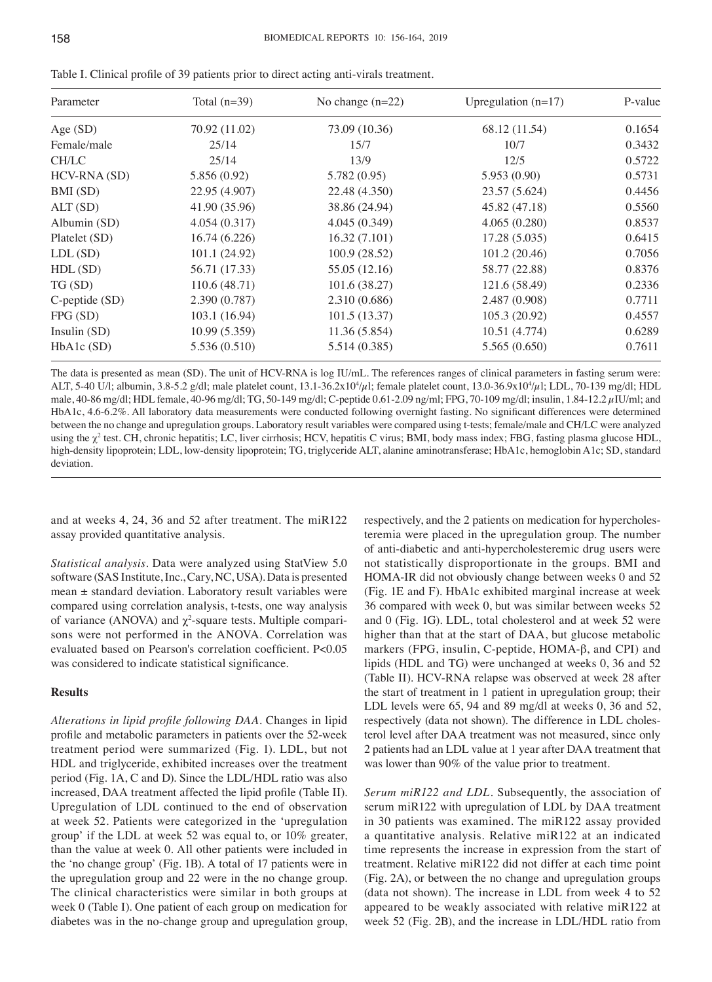| Parameter           | Total $(n=39)$ | No change $(n=22)$ | Upregulation $(n=17)$ | P-value |
|---------------------|----------------|--------------------|-----------------------|---------|
| Age $(SD)$          | 70.92 (11.02)  | 73.09 (10.36)      | 68.12 (11.54)         | 0.1654  |
| Female/male         | 25/14          | 15/7               | 10/7                  | 0.3432  |
| CH/LC               | 25/14          | 13/9               | 12/5                  | 0.5722  |
| HCV-RNA (SD)        | 5.856 (0.92)   | 5.782 (0.95)       | 5.953 (0.90)          | 0.5731  |
| BMI (SD)            | 22.95 (4.907)  | 22.48 (4.350)      | 23.57 (5.624)         | 0.4456  |
| ALT (SD)            | 41.90 (35.96)  | 38.86 (24.94)      | 45.82 (47.18)         | 0.5560  |
| Albumin (SD)        | 4.054(0.317)   | 4.045(0.349)       | 4.065(0.280)          | 0.8537  |
| Platelet (SD)       | 16.74(6.226)   | 16.32(7.101)       | 17.28 (5.035)         | 0.6415  |
| LDL(SD)             | 101.1 (24.92)  | 100.9(28.52)       | 101.2(20.46)          | 0.7056  |
| HDL(SD)             | 56.71 (17.33)  | 55.05 (12.16)      | 58.77 (22.88)         | 0.8376  |
| TG (SD)             | 110.6(48.71)   | 101.6 (38.27)      | 121.6 (58.49)         | 0.2336  |
| $C$ -peptide $(SD)$ | 2.390 (0.787)  | 2.310 (0.686)      | 2.487 (0.908)         | 0.7711  |
| FPG (SD)            | 103.1 (16.94)  | 101.5(13.37)       | 105.3 (20.92)         | 0.4557  |
| Insulin (SD)        | 10.99(5.359)   | 11.36(5.854)       | 10.51 (4.774)         | 0.6289  |
| HbA1c (SD)          | 5.536 (0.510)  | 5.514 (0.385)      | 5.565 (0.650)         | 0.7611  |

Table I. Clinical profile of 39 patients prior to direct acting anti-virals treatment.

The data is presented as mean (SD). The unit of HCV-RNA is log IU/mL. The references ranges of clinical parameters in fasting serum were: ALT, 5-40 U/l; albumin, 3.8-5.2 g/dl; male platelet count, 13.1-36.2x10<sup>4</sup>/µl; female platelet count, 13.0-36.9x10<sup>4</sup>/µl; LDL, 70-139 mg/dl; HDL male, 40‑86 mg/dl; HDL female, 40‑96 mg/dl; TG, 50‑149 mg/dl; C‑peptide 0.61‑2.09 ng/ml; FPG, 70‑109 mg/dl; insulin, 1.84‑12.2 µIU/ml; and HbA1c, 4.6-6.2%. All laboratory data measurements were conducted following overnight fasting. No significant differences were determined between the no change and upregulation groups. Laboratory result variables were compared using t-tests; female/male and CH/LC were analyzed using the  $\chi^2$  test. CH, chronic hepatitis; LC, liver cirrhosis; HCV, hepatitis C virus; BMI, body mass index; FBG, fasting plasma glucose HDL, high-density lipoprotein; LDL, low-density lipoprotein; TG, triglyceride ALT, alanine aminotransferase; HbA1c, hemoglobin A1c; SD, standard deviation.

and at weeks 4, 24, 36 and 52 after treatment. The miR122 assay provided quantitative analysis.

*Statistical analysis.* Data were analyzed using StatView 5.0 software (SAS Institute, Inc., Cary, NC, USA). Data is presented  $mean \pm$  standard deviation. Laboratory result variables were compared using correlation analysis, t-tests, one way analysis of variance (ANOVA) and  $\chi^2$ -square tests. Multiple comparisons were not performed in the ANOVA. Correlation was evaluated based on Pearson's correlation coefficient. P<0.05 was considered to indicate statistical significance.

# **Results**

*Alterations in lipid profile following DAA.* Changes in lipid profile and metabolic parameters in patients over the 52‑week treatment period were summarized (Fig. 1). LDL, but not HDL and triglyceride, exhibited increases over the treatment period (Fig. 1A, C and D). Since the LDL/HDL ratio was also increased, DAA treatment affected the lipid profile (Table II). Upregulation of LDL continued to the end of observation at week 52. Patients were categorized in the 'upregulation group' if the LDL at week 52 was equal to, or 10% greater, than the value at week 0. All other patients were included in the 'no change group' (Fig. 1B). A total of 17 patients were in the upregulation group and 22 were in the no change group. The clinical characteristics were similar in both groups at week 0 (Table I). One patient of each group on medication for diabetes was in the no‑change group and upregulation group,

respectively, and the 2 patients on medication for hypercholesteremia were placed in the upregulation group. The number of anti‑diabetic and anti‑hypercholesteremic drug users were not statistically disproportionate in the groups. BMI and HOMA-IR did not obviously change between weeks 0 and 52 (Fig. 1E and F). HbA1c exhibited marginal increase at week 36 compared with week 0, but was similar between weeks 52 and 0 (Fig. 1G). LDL, total cholesterol and at week 52 were higher than that at the start of DAA, but glucose metabolic markers (FPG, insulin, C‑peptide, HOMA‑β, and CPI) and lipids (HDL and TG) were unchanged at weeks 0, 36 and 52 (Table II). HCV‑RNA relapse was observed at week 28 after the start of treatment in 1 patient in upregulation group; their LDL levels were 65, 94 and 89 mg/dl at weeks 0, 36 and 52, respectively (data not shown). The difference in LDL cholesterol level after DAA treatment was not measured, since only 2 patients had an LDL value at 1 year after DAA treatment that was lower than 90% of the value prior to treatment.

*Serum miR122 and LDL.* Subsequently, the association of serum miR122 with upregulation of LDL by DAA treatment in 30 patients was examined. The miR122 assay provided a quantitative analysis. Relative miR122 at an indicated time represents the increase in expression from the start of treatment. Relative miR122 did not differ at each time point (Fig. 2A), or between the no change and upregulation groups (data not shown). The increase in LDL from week 4 to 52 appeared to be weakly associated with relative miR122 at week 52 (Fig. 2B), and the increase in LDL/HDL ratio from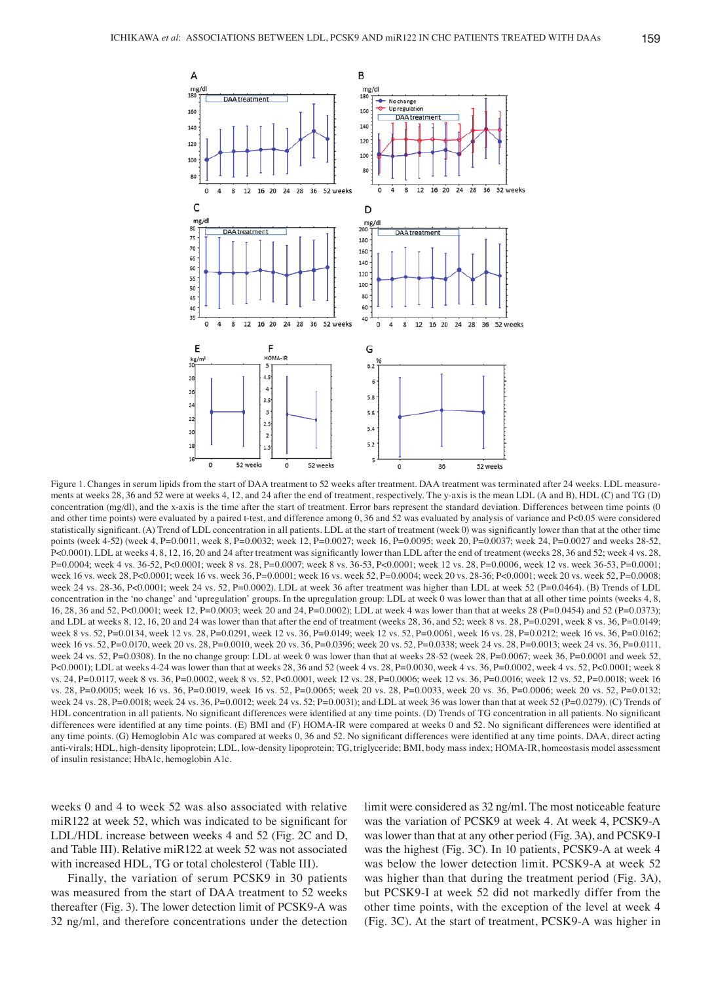

Figure 1. Changes in serum lipids from the start of DAA treatment to 52 weeks after treatment. DAA treatment was terminated after 24 weeks. LDL measurements at weeks 28, 36 and 52 were at weeks 4, 12, and 24 after the end of treatment, respectively. The y-axis is the mean LDL (A and B), HDL (C) and TG (D) concentration (mg/dl), and the x-axis is the time after the start of treatment. Error bars represent the standard deviation. Differences between time points (0) and other time points) were evaluated by a paired t-test, and difference among 0, 36 and 52 was evaluated by analysis of variance and P<0.05 were considered statistically significant. (A) Trend of LDL concentration in all patients. LDL at the start of treatment (week 0) was significantly lower than that at the other time points (week 4-52) (week 4, P=0.0011, week 8, P=0.0032; week 12, P=0.0027; week 16, P=0.0095; week 20, P=0.0037; week 24, P=0.0027 and weeks 28-52, P<0.0001). LDL at weeks 4, 8, 12, 16, 20 and 24 after treatment was significantly lower than LDL after the end of treatment (weeks 28, 36 and 52; week 4 vs. 28, P=0.0004; week 4 vs. 36‑52, P<0.0001; week 8 vs. 28, P=0.0007; week 8 vs. 36‑53, P<0.0001; week 12 vs. 28, P=0.0006, week 12 vs. week 36‑53, P=0.0001; week 16 vs. week 28, P<0.0001; week 16 vs. week 36, P=0.0001; week 16 vs. week 52, P=0.0004; week 20 vs. 28–36; P<0.0001; week 20 vs. week 52, P=0.0008; week 24 vs. 28-36, P<0.0001; week 24 vs. 52, P=0.0002). LDL at week 36 after treatment was higher than LDL at week 52 (P=0.0464). (B) Trends of LDL concentration in the 'no change' and 'upregulation' groups. In the upregulation group: LDL at week 0 was lower than that at all other time points (weeks 4, 8, 16, 28, 36 and 52, P<0.0001; week 12, P=0.0003; week 20 and 24, P=0.0002); LDL at week 4 was lower than that at weeks 28 (P=0.0454) and 52 (P=0.0373); and LDL at weeks 8, 12, 16, 20 and 24 was lower than that after the end of treatment (weeks 28, 36, and 52; week 8 vs. 28, P=0.0291, week 8 vs. 36, P=0.0149; week 8 vs. 52, P=0.0134, week 12 vs. 28, P=0.0291, week 12 vs. 36, P=0.0149; week 12 vs. 52, P=0.0061, week 16 vs. 28, P=0.0212; week 16 vs. 36, P=0.0162; week 16 vs. 52, P=0.0170, week 20 vs. 28, P=0.0010, week 20 vs. 36, P=0.0396; week 20 vs. 52, P=0.0338; week 24 vs. 28, P=0.0013; week 24 vs. 36, P=0.0111, week 24 vs. 52, P=0.0308). In the no change group: LDL at week 0 was lower than that at weeks 28–52 (week 28, P=0.0067; week 36, P=0.0001 and week 52, P<0.0001); LDL at weeks 4‑24 was lower than that at weeks 28, 36 and 52 (week 4 vs. 28, P=0.0030, week 4 vs. 36, P=0.0002, week 4 vs. 52, P<0.0001; week 8 vs. 24, P=0.0117, week 8 vs. 36, P=0.0002, week 8 vs. 52, P<0.0001, week 12 vs. 28, P=0.0006; week 12 vs. 36, P=0.0016; week 12 vs. 52, P=0.0018; week 16 vs. 28, P=0.0005; week 16 vs. 36, P=0.0019, week 16 vs. 52, P=0.0065; week 20 vs. 28, P=0.0033, week 20 vs. 36, P=0.0006; week 20 vs. 52, P=0.0132; week 24 vs. 28, P=0.0018; week 24 vs. 36, P=0.0012; week 24 vs. 52; P=0.0031); and LDL at week 36 was lower than that at week 52 (P=0.0279). (C) Trends of HDL concentration in all patients. No significant differences were identified at any time points. (D) Trends of TG concentration in all patients. No significant differences were identified at any time points. (E) BMI and (F) HOMA-IR were compared at weeks 0 and 52. No significant differences were identified at any time points. (G) Hemoglobin A1c was compared at weeks 0, 36 and 52. No significant differences were identified at any time points. DAA, direct acting anti-virals; HDL, high-density lipoprotein; LDL, low-density lipoprotein; TG, triglyceride; BMI, body mass index; HOMA-IR, homeostasis model assessment of insulin resistance; HbA1c, hemoglobin A1c.

weeks 0 and 4 to week 52 was also associated with relative miR122 at week 52, which was indicated to be significant for LDL/HDL increase between weeks 4 and 52 (Fig. 2C and D, and Table III). Relative miR122 at week 52 was not associated with increased HDL, TG or total cholesterol (Table III).

Finally, the variation of serum PCSK9 in 30 patients was measured from the start of DAA treatment to 52 weeks thereafter (Fig. 3). The lower detection limit of PCSK9‑A was 32 ng/ml, and therefore concentrations under the detection limit were considered as 32 ng/ml. The most noticeable feature was the variation of PCSK9 at week 4. At week 4, PCSK9‑A was lower than that at any other period (Fig. 3A), and PCSK9‑I was the highest (Fig. 3C). In 10 patients, PCSK9-A at week 4 was below the lower detection limit. PCSK9-A at week 52 was higher than that during the treatment period (Fig. 3A), but PCSK9‑I at week 52 did not markedly differ from the other time points, with the exception of the level at week 4 (Fig. 3C). At the start of treatment, PCSK9‑A was higher in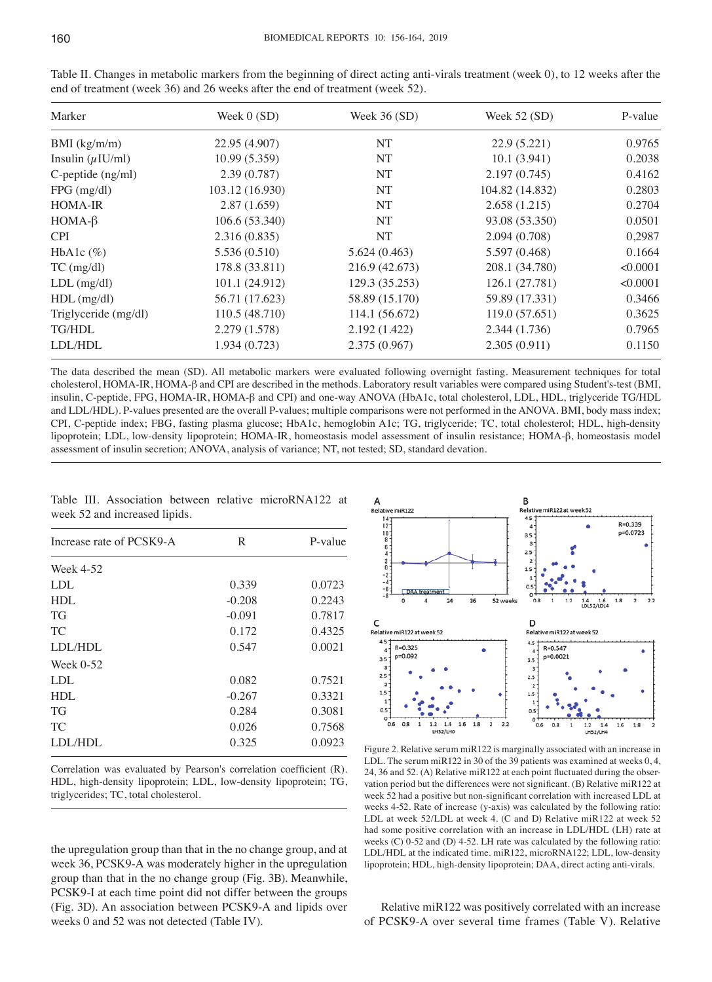| Marker                            | Week $0(SD)$    | Week $36(SD)$  | Week $52(SD)$   | P-value  |
|-----------------------------------|-----------------|----------------|-----------------|----------|
| $BMI$ (kg/m/m)                    | 22.95 (4.907)   | NT             | 22.9(5.221)     | 0.9765   |
| Insulin $(\mu$ IU/ml)             | 10.99(5.359)    | NT             | 10.1(3.941)     | 0.2038   |
| $C$ -peptide $(ng/ml)$            | 2.39(0.787)     | NT             | 2.197(0.745)    | 0.4162   |
| $FPG$ (mg/dl)                     | 103.12 (16.930) | NT             | 104.82 (14.832) | 0.2803   |
| <b>HOMA-IR</b>                    | 2.87(1.659)     | NT             | 2.658(1.215)    | 0.2704   |
| $HOMA-\beta$                      | 106.6 (53.340)  | NT             | 93.08 (53.350)  | 0.0501   |
| <b>CPI</b>                        | 2.316(0.835)    | NT             | 2.094(0.708)    | 0,2987   |
| HbAlc $(\%)$                      | 5.536 (0.510)   | 5.624(0.463)   | 5.597 (0.468)   | 0.1664   |
| $TC \left( \frac{mg}{dl} \right)$ | 178.8 (33.811)  | 216.9 (42.673) | 208.1 (34.780)  | < 0.0001 |
| $LDL$ (mg/dl)                     | 101.1 (24.912)  | 129.3 (35.253) | 126.1 (27.781)  | < 0.0001 |
| $HDL$ (mg/dl)                     | 56.71 (17.623)  | 58.89 (15.170) | 59.89 (17.331)  | 0.3466   |
| Triglyceride (mg/dl)              | 110.5(48.710)   | 114.1 (56.672) | 119.0 (57.651)  | 0.3625   |
| <b>TG/HDL</b>                     | 2.279 (1.578)   | 2.192(1.422)   | 2.344(1.736)    | 0.7965   |
| LDL/HDL                           | 1.934(0.723)    | 2.375 (0.967)  | 2.305(0.911)    | 0.1150   |

Table II. Changes in metabolic markers from the beginning of direct acting anti-virals treatment (week 0), to 12 weeks after the end of treatment (week 36) and 26 weeks after the end of treatment (week 52).

The data described the mean (SD). All metabolic markers were evaluated following overnight fasting. Measurement techniques for total cholesterol, HOMA‑IR, HOMA‑β and CPI are described in the methods. Laboratory result variables were compared using Student's‑test (BMI, insulin, C-peptide, FPG, HOMA-IR, HOMA-β and CPI) and one-way ANOVA (HbA1c, total cholesterol, LDL, HDL, triglyceride TG/HDL and LDL/HDL). P-values presented are the overall P-values; multiple comparisons were not performed in the ANOVA. BMI, body mass index; CPI, C-peptide index; FBG, fasting plasma glucose; HbA1c, hemoglobin A1c; TG, triglyceride; TC, total cholesterol; HDL, high-density lipoprotein; LDL, low‑density lipoprotein; HOMA‑IR, homeostasis model assessment of insulin resistance; HOMA‑β, homeostasis model assessment of insulin secretion; ANOVA, analysis of variance; NT, not tested; SD, standard devation.

Table III. Association between relative microRNA122 at week 52 and increased lipids.

| Increase rate of PCSK9-A | R        | P-value |
|--------------------------|----------|---------|
| Week 4-52                |          |         |
| LDL                      | 0.339    | 0.0723  |
| HDL                      | $-0.208$ | 0.2243  |
| <b>TG</b>                | $-0.091$ | 0.7817  |
| TC                       | 0.172    | 0.4325  |
| LDL/HDL                  | 0.547    | 0.0021  |
| Week $0-52$              |          |         |
| LDL                      | 0.082    | 0.7521  |
| HDL                      | $-0.267$ | 0.3321  |
| <b>TG</b>                | 0.284    | 0.3081  |
| TC.                      | 0.026    | 0.7568  |
| LDL/HDL                  | 0.325    | 0.0923  |
|                          |          |         |

Correlation was evaluated by Pearson's correlation coefficient (R). HDL, high-density lipoprotein; LDL, low-density lipoprotein; TG, triglycerides; TC, total cholesterol.

the upregulation group than that in the no change group, and at week 36, PCSK9‑A was moderately higher in the upregulation group than that in the no change group (Fig. 3B). Meanwhile, PCSK9‑I at each time point did not differ between the groups (Fig. 3D). An association between PCSK9‑A and lipids over weeks 0 and 52 was not detected (Table IV).



Figure 2. Relative serum miR122 is marginally associated with an increase in LDL. The serum miR122 in 30 of the 39 patients was examined at weeks 0, 4, 24, 36 and 52. (A) Relative miR122 at each point fluctuated during the observation period but the differences were not significant. (B) Relative miR122 at week 52 had a positive but non‑significant correlation with increased LDL at weeks 4-52. Rate of increase (y-axis) was calculated by the following ratio: LDL at week 52/LDL at week 4. (C and D) Relative miR122 at week 52 had some positive correlation with an increase in LDL/HDL (LH) rate at weeks (C) 0-52 and (D) 4-52. LH rate was calculated by the following ratio: LDL/HDL at the indicated time. miR122, microRNA122; LDL, low‑density lipoprotein; HDL, high-density lipoprotein; DAA, direct acting anti-virals.

Relative miR122 was positively correlated with an increase of PCSK9‑A over several time frames (Table V). Relative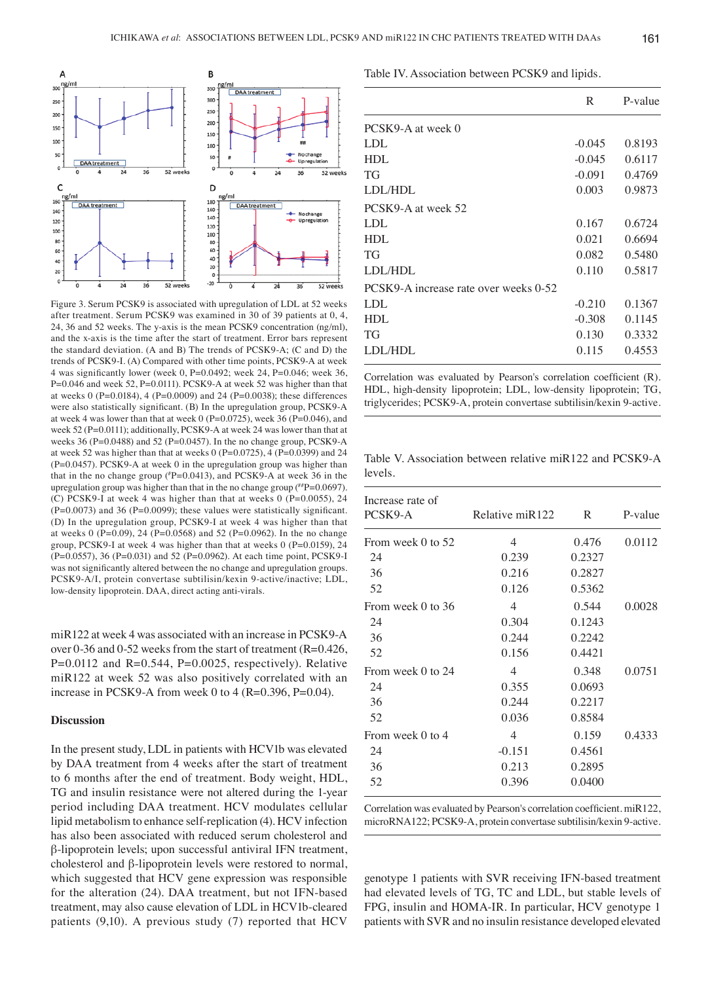

Figure 3. Serum PCSK9 is associated with upregulation of LDL at 52 weeks after treatment. Serum PCSK9 was examined in 30 of 39 patients at 0, 4, 24, 36 and 52 weeks. The y‑axis is the mean PCSK9 concentration (ng/ml), and the x‑axis is the time after the start of treatment. Error bars represent the standard deviation. (A and B) The trends of PCSK9‑A; (C and D) the trends of PCSK9‑I. (A) Compared with other time points, PCSK9‑A at week 4 was significantly lower (week 0, P=0.0492; week 24, P=0.046; week 36, P=0.046 and week 52, P=0.0111). PCSK9-A at week 52 was higher than that at weeks 0 (P=0.0184), 4 (P=0.0009) and 24 (P=0.0038); these differences were also statistically significant. (B) In the upregulation group, PCSK9-A at week 4 was lower than that at week 0 (P=0.0725), week 36 (P=0.046), and week 52 (P=0.0111); additionally, PCSK9-A at week 24 was lower than that at weeks 36 (P=0.0488) and 52 (P=0.0457). In the no change group, PCSK9-A at week 52 was higher than that at weeks 0 (P=0.0725), 4 (P=0.0399) and 24 (P=0.0457). PCSK9‑A at week 0 in the upregulation group was higher than that in the no change group (# P=0.0413), and PCSK9‑A at week 36 in the upregulation group was higher than that in the no change group  $(^{#}P=0.0697)$ . (C) PCSK9‑I at week 4 was higher than that at weeks 0 (P=0.0055), 24  $(P=0.0073)$  and 36 (P=0.0099); these values were statistically significant. (D) In the upregulation group, PCSK9‑I at week 4 was higher than that at weeks 0 (P=0.09), 24 (P=0.0568) and 52 (P=0.0962). In the no change group, PCSK9‑I at week 4 was higher than that at weeks 0 (P=0.0159), 24 (P=0.0557), 36 (P=0.031) and 52 (P=0.0962). At each time point, PCSK9‑I was not significantly altered between the no change and upregulation groups. PCSK9‑A/I, protein convertase subtilisin/kexin 9‑active/inactive; LDL, low-density lipoprotein. DAA, direct acting anti-virals.

miR122 at week 4 was associated with an increase in PCSK9‑A over 0‑36 and 0‑52 weeks from the start of treatment (R=0.426,  $P=0.0112$  and  $R=0.544$ ,  $P=0.0025$ , respectively). Relative miR122 at week 52 was also positively correlated with an increase in PCSK9-A from week 0 to 4 (R=0.396, P=0.04).

# **Discussion**

In the present study, LDL in patients with HCV1b was elevated by DAA treatment from 4 weeks after the start of treatment to 6 months after the end of treatment. Body weight, HDL, TG and insulin resistance were not altered during the 1‑year period including DAA treatment. HCV modulates cellular lipid metabolism to enhance self‑replication (4). HCV infection has also been associated with reduced serum cholesterol and β‑lipoprotein levels; upon successful antiviral IFN treatment, cholesterol and β‑lipoprotein levels were restored to normal, which suggested that HCV gene expression was responsible for the alteration (24). DAA treatment, but not IFN-based treatment, may also cause elevation of LDL in HCV1b‑cleared patients (9,10). A previous study (7) reported that HCV Table IV. Association between PCSK9 and lipids.

|                                       | R        | P-value |
|---------------------------------------|----------|---------|
| PCSK9-A at week 0                     |          |         |
| <b>LDL</b>                            | $-0.045$ | 0.8193  |
| HDL                                   | $-0.045$ | 0.6117  |
| <b>TG</b>                             | $-0.091$ | 0.4769  |
| LDL/HDL                               | 0.003    | 0.9873  |
| PCSK9-A at week 52                    |          |         |
| LDL                                   | 0.167    | 0.6724  |
| HDL                                   | 0.021    | 0.6694  |
| <b>TG</b>                             | 0.082    | 0.5480  |
| LDL/HDL                               | 0.110    | 0.5817  |
| PCSK9-A increase rate over weeks 0-52 |          |         |
| LDL                                   | $-0.210$ | 0.1367  |
| HDL                                   | $-0.308$ | 0.1145  |
| <b>TG</b>                             | 0.130    | 0.3332  |
| LDL/HDL                               | 0.115    | 0.4553  |

Correlation was evaluated by Pearson's correlation coefficient (R). HDL, high-density lipoprotein; LDL, low-density lipoprotein; TG, triglycerides; PCSK9‑A, protein convertase subtilisin/kexin 9‑active.

Table V. Association between relative miR122 and PCSK9‑A levels.

| Increase rate of<br>PCSK9-A | Relative miR122 | R      | P-value |
|-----------------------------|-----------------|--------|---------|
| From week 0 to 52           | 4               | 0.476  | 0.0112  |
| 24                          | 0.239           | 0.2327 |         |
| 36                          | 0.216           | 0.2827 |         |
| 52                          | 0.126           | 0.5362 |         |
| From week 0 to 36           | 4               | 0.544  | 0.0028  |
| 24                          | 0.304           | 0.1243 |         |
| 36                          | 0.244           | 0.2242 |         |
| 52                          | 0.156           | 0.4421 |         |
| From week 0 to 24           | 4               | 0.348  | 0.0751  |
| 24                          | 0.355           | 0.0693 |         |
| 36                          | 0.244           | 0.2217 |         |
| 52                          | 0.036           | 0.8584 |         |
| From week 0 to 4            | 4               | 0.159  | 0.4333  |
| 24                          | $-0.151$        | 0.4561 |         |
| 36                          | 0.213           | 0.2895 |         |
| 52                          | 0.396           | 0.0400 |         |
|                             |                 |        |         |

Correlation was evaluated by Pearson's correlation coefficient. miR122, microRNA122; PCSK9‑A, protein convertase subtilisin/kexin 9‑active.

genotype 1 patients with SVR receiving IFN‑based treatment had elevated levels of TG, TC and LDL, but stable levels of FPG, insulin and HOMA‑IR. In particular, HCV genotype 1 patients with SVR and no insulin resistance developed elevated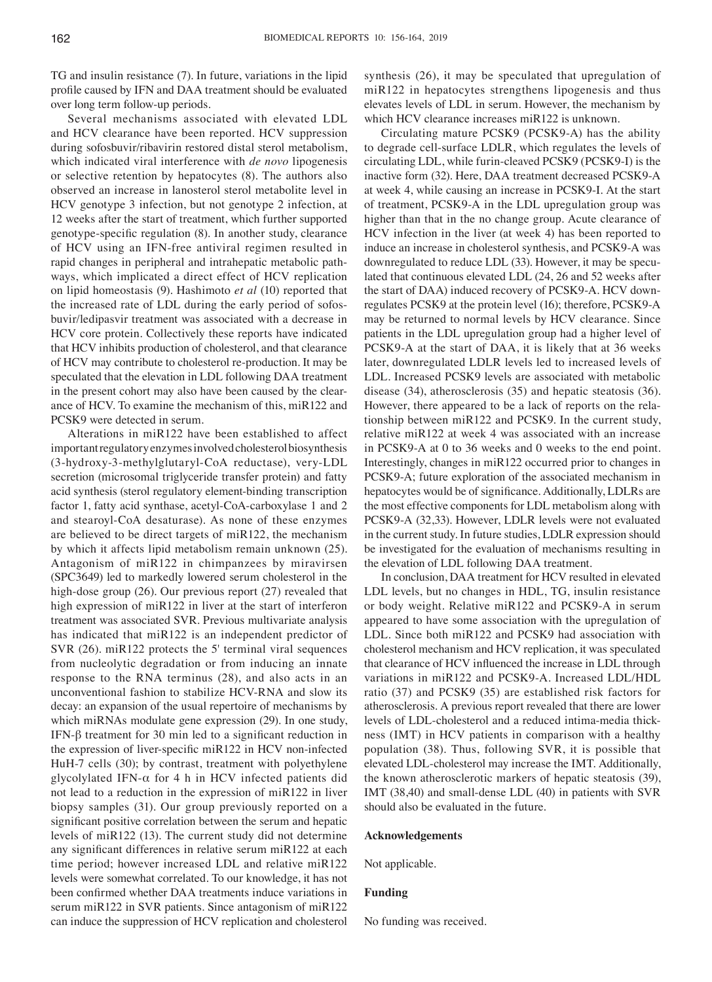TG and insulin resistance (7). In future, variations in the lipid profile caused by IFN and DAA treatment should be evaluated over long term follow‑up periods.

Several mechanisms associated with elevated LDL and HCV clearance have been reported. HCV suppression during sofosbuvir/ribavirin restored distal sterol metabolism, which indicated viral interference with *de novo* lipogenesis or selective retention by hepatocytes (8). The authors also observed an increase in lanosterol sterol metabolite level in HCV genotype 3 infection, but not genotype 2 infection, at 12 weeks after the start of treatment, which further supported genotype‑specific regulation (8). In another study, clearance of HCV using an IFN‑free antiviral regimen resulted in rapid changes in peripheral and intrahepatic metabolic pathways, which implicated a direct effect of HCV replication on lipid homeostasis (9). Hashimoto *et al* (10) reported that the increased rate of LDL during the early period of sofosbuvir/ledipasvir treatment was associated with a decrease in HCV core protein. Collectively these reports have indicated that HCV inhibits production of cholesterol, and that clearance of HCV may contribute to cholesterol re‑production. It may be speculated that the elevation in LDL following DAA treatment in the present cohort may also have been caused by the clearance of HCV. To examine the mechanism of this, miR122 and PCSK9 were detected in serum.

Alterations in miR122 have been established to affect important regulatory enzymes involved cholesterol biosynthesis (3‑hydroxy‑3‑methylglutaryl‑CoA reductase), very‑LDL secretion (microsomal triglyceride transfer protein) and fatty acid synthesis (sterol regulatory element-binding transcription factor 1, fatty acid synthase, acetyl-CoA-carboxylase 1 and 2 and stearoyl‑CoA desaturase). As none of these enzymes are believed to be direct targets of miR122, the mechanism by which it affects lipid metabolism remain unknown (25). Antagonism of miR122 in chimpanzees by miravirsen (SPC3649) led to markedly lowered serum cholesterol in the high-dose group (26). Our previous report (27) revealed that high expression of miR122 in liver at the start of interferon treatment was associated SVR. Previous multivariate analysis has indicated that miR122 is an independent predictor of SVR (26). miR122 protects the 5' terminal viral sequences from nucleolytic degradation or from inducing an innate response to the RNA terminus (28), and also acts in an unconventional fashion to stabilize HCV‑RNA and slow its decay: an expansion of the usual repertoire of mechanisms by which miRNAs modulate gene expression (29). In one study, IFN- $β$  treatment for 30 min led to a significant reduction in the expression of liver-specific miR122 in HCV non-infected HuH-7 cells (30); by contrast, treatment with polyethylene glycolylated IFN- $\alpha$  for 4 h in HCV infected patients did not lead to a reduction in the expression of miR122 in liver biopsy samples (31). Our group previously reported on a significant positive correlation between the serum and hepatic levels of miR122 (13). The current study did not determine any significant differences in relative serum miR122 at each time period; however increased LDL and relative miR122 levels were somewhat correlated. To our knowledge, it has not been confirmed whether DAA treatments induce variations in serum miR122 in SVR patients. Since antagonism of miR122 can induce the suppression of HCV replication and cholesterol synthesis (26), it may be speculated that upregulation of miR122 in hepatocytes strengthens lipogenesis and thus elevates levels of LDL in serum. However, the mechanism by which HCV clearance increases miR122 is unknown.

Circulating mature PCSK9 (PCSK9‑A) has the ability to degrade cell‑surface LDLR, which regulates the levels of circulating LDL, while furin‑cleaved PCSK9 (PCSK9‑I) is the inactive form (32). Here, DAA treatment decreased PCSK9‑A at week 4, while causing an increase in PCSK9‑I. At the start of treatment, PCSK9‑A in the LDL upregulation group was higher than that in the no change group. Acute clearance of HCV infection in the liver (at week 4) has been reported to induce an increase in cholesterol synthesis, and PCSK9‑A was downregulated to reduce LDL (33). However, it may be speculated that continuous elevated LDL (24, 26 and 52 weeks after the start of DAA) induced recovery of PCSK9‑A. HCV downregulates PCSK9 at the protein level (16); therefore, PCSK9‑A may be returned to normal levels by HCV clearance. Since patients in the LDL upregulation group had a higher level of PCSK9‑A at the start of DAA, it is likely that at 36 weeks later, downregulated LDLR levels led to increased levels of LDL. Increased PCSK9 levels are associated with metabolic disease (34), atherosclerosis (35) and hepatic steatosis (36). However, there appeared to be a lack of reports on the relationship between miR122 and PCSK9. In the current study, relative miR122 at week 4 was associated with an increase in PCSK9‑A at 0 to 36 weeks and 0 weeks to the end point. Interestingly, changes in miR122 occurred prior to changes in PCSK9‑A; future exploration of the associated mechanism in hepatocytes would be of significance. Additionally, LDLRs are the most effective components for LDL metabolism along with PCSK9‑A (32,33). However, LDLR levels were not evaluated in the current study. In future studies, LDLR expression should be investigated for the evaluation of mechanisms resulting in the elevation of LDL following DAA treatment.

In conclusion, DAA treatment for HCV resulted in elevated LDL levels, but no changes in HDL, TG, insulin resistance or body weight. Relative miR122 and PCSK9‑A in serum appeared to have some association with the upregulation of LDL. Since both miR122 and PCSK9 had association with cholesterol mechanism and HCV replication, it was speculated that clearance of HCV influenced the increase in LDL through variations in miR122 and PCSK9‑A. Increased LDL/HDL ratio (37) and PCSK9 (35) are established risk factors for atherosclerosis. A previous report revealed that there are lower levels of LDL‑cholesterol and a reduced intima‑media thickness (IMT) in HCV patients in comparison with a healthy population (38). Thus, following SVR, it is possible that elevated LDL‑cholesterol may increase the IMT. Additionally, the known atherosclerotic markers of hepatic steatosis (39), IMT (38,40) and small‑dense LDL (40) in patients with SVR should also be evaluated in the future.

#### **Acknowledgements**

Not applicable.

# **Funding**

No funding was received.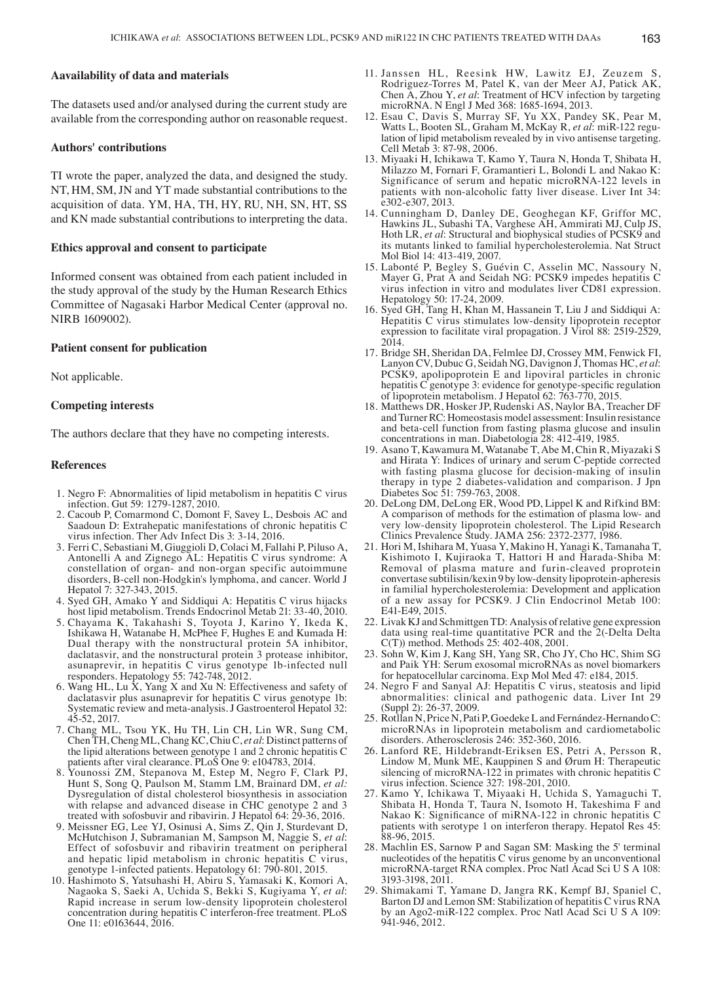## **Aavailability of data and materials**

The datasets used and/or analysed during the current study are available from the corresponding author on reasonable request.

## **Authors' contributions**

TI wrote the paper, analyzed the data, and designed the study. NT, HM, SM, JN and YT made substantial contributions to the acquisition of data. YM, HA, TH, HY, RU, NH, SN, HT, SS and KN made substantial contributions to interpreting the data.

#### **Ethics approval and consent to participate**

Informed consent was obtained from each patient included in the study approval of the study by the Human Research Ethics Committee of Nagasaki Harbor Medical Center (approval no. NIRB 1609002).

#### **Patient consent for publication**

Not applicable.

# **Competing interests**

The authors declare that they have no competing interests.

#### **References**

- 1. Negro F: Abnormalities of lipid metabolism in hepatitis C virus infection. Gut 59: 1279‑1287, 2010.
- 2. Cacoub P, Comarmond C, Domont F, Savey L, Desbois AC and Saadoun D: Extrahepatic manifestations of chronic hepatitis C virus infection. Ther Adv Infect Dis 3: 3‑14, 2016.
- 3. Ferri C, Sebastiani M, Giuggioli D, Colaci M, Fallahi P, Piluso A, Antonelli A and Zignego AL: Hepatitis C virus syndrome: A constellation of organ- and non-organ specific autoimmune disorders, B‑cell non‑Hodgkin's lymphoma, and cancer. World J Hepatol 7: 327‑343, 2015.
- 4. Syed GH, Amako Y and Siddiqui A: Hepatitis C virus hijacks host lipid metabolism. Trends Endocrinol Metab 21: 33‑40, 2010.
- 5. Chayama K, Takahashi S, Toyota J, Karino Y, Ikeda K, Ishikawa H, Watanabe H, McPhee F, Hughes E and Kumada H: Dual therapy with the nonstructural protein 5A inhibitor, daclatasvir, and the nonstructural protein 3 protease inhibitor, asunaprevir, in hepatitis C virus genotype 1b‑infected null responders. Hepatology 55: 742‑748, 2012.
- 6. Wang HL, Lu  $\hat{X}$ , Yang X and Xu N: Effectiveness and safety of daclatasvir plus asunaprevir for hepatitis C virus genotype 1b: Systematic review and meta‑analysis. J Gastroenterol Hepatol 32: 45‑52, 2017.
- 7. Chang ML, Tsou YK, Hu TH, Lin CH, Lin WR, Sung CM, Chen TH, Cheng ML, Chang KC, Chiu C, *et al*: Distinct patterns of the lipid alterations between genotype 1 and 2 chronic hepatitis C patients after viral clearance. PLoS One 9: e104783, 2014.
- 8. Younossi ZM, Stepanova M, Estep M, Negro F, Clark PJ, Hunt S, Song Q, Paulson M, Stamm LM, Brainard DM, *et al:* Dysregulation of distal cholesterol biosynthesis in association with relapse and advanced disease in CHC genotype 2 and 3 treated with sofosbuvir and ribavirin. J Hepatol 64: 29‑36, 2016.
- 9. Meissner EG, Lee YJ, Osinusi A, Sims Z, Qin J, Sturdevant D, McHutchison J, Subramanian M, Sampson M, Naggie S, *et al*: Effect of sofosbuvir and ribavirin treatment on peripheral and hepatic lipid metabolism in chronic hepatitis C virus, enotype 1-infected patients. Hepatology 61: 790-801, 2015.
- 10. Hashimoto S, Yatsuhashi H, Abiru S, Yamasaki K, Komori A, Nagaoka S, Saeki A, Uchida S, Bekki S, Kugiyama Y, *et al*: Rapid increase in serum low‑density lipoprotein cholesterol concentration during hepatitis C interferon‑free treatment. PLoS One 11: e0163644, 2016.
- 11. Janssen HL, Reesink HW, Lawitz EJ, Zeuzem S, Rodriguez‑Torres M, Patel K, van der Meer AJ, Patick AK, Chen A, Zhou Y, *et al*: Treatment of HCV infection by targeting microRNA. N Engl J Med 368: 1685‑1694, 2013.
- 12. Esau C, Davis S, Murray SF, Yu XX, Pandey SK, Pear M, Watts L, Booten SL, Graham M, McKay R, *et al*: miR‑122 regulation of lipid metabolism revealed by in vivo antisense targeting. Cell Metab 3: 87‑98, 2006.
- 13. Miyaaki H, Ichikawa T, Kamo Y, Taura N, Honda T, Shibata H, Milazzo M, Fornari F, Gramantieri L, Bolondi L and Nakao K: Significance of serum and hepatic microRNA‑122 levels in patients with non‑alcoholic fatty liver disease. Liver Int 34: e302‑e307, 2013.
- 14. Cunningham D, Danley DE, Geoghegan KF, Griffor MC, Hawkins JL, Subashi TA, Varghese AH, Ammirati MJ, Culp JS, Hoth LR, *et al*: Structural and biophysical studies of PCSK9 and its mutants linked to familial hypercholesterolemia. Nat Struct Mol Biol 14: 413-419, 2007.
- 15. Labonté P, Begley S, Guévin C, Asselin MC, Nassoury N, Mayer G, Prat A and Seidah NG: PCSK9 impedes hepatitis C virus infection in vitro and modulates liver CD81 expression. Hepatology 50: 17‑24, 2009.
- 16. Syed GH, Tang H, Khan M, Hassanein T, Liu J and Siddiqui A: Hepatitis C virus stimulates low‑density lipoprotein receptor expression to facilitate viral propagation. J Virol 88: 2519–2529, 2014.
- 17. Bridge SH, Sheridan DA, Felmlee DJ, Crossey MM, Fenwick FI, Lanyon CV, Dubuc G, Seidah NG, Davignon J, Thomas HC, et al: PCSK9, apolipoprotein E and lipoviral particles in chronic hepatitis C genotype 3: evidence for genotype-specific regulation of lipoprotein metabolism. J Hepatol 62: 763‑770, 2015.
- 18. Matthews DR, Hosker JP, Rudenski AS, Naylor BA, Treacher DF and Turner RC: Homeostasis model assessment: Insulin resistance and beta‑cell function from fasting plasma glucose and insulin concentrations in man. Diabetologia 28: 412‑419, 1985.
- 19. Asano T, Kawamura M, Watanabe T, Abe M, Chin R, Miyazaki S and Hirata Y: Indices of urinary and serum C‑peptide corrected with fasting plasma glucose for decision-making of insulin therapy in type 2 diabetes-validation and comparison. J Jpn Diabetes Soc 51: 759-763, 2008.
- 20. DeLong DM, DeLong ER, Wood PD, Lippel K and Rifkind BM: A comparison of methods for the estimation of plasma low‑ and very low‑density lipoprotein cholesterol. The Lipid Research Clinics Prevalence Study. JAMA 256: 2372‑2377, 1986.
- 21. Hori M, Ishihara M, Yuasa Y, Makino H, Yanagi K, Tamanaha T, Kishimoto I, Kujiraoka T, Hattori H and Harada‑Shiba M: Removal of plasma mature and furin‑cleaved proprotein convertase subtilisin/kexin 9 by low‑density lipoprotein‑apheresis in familial hypercholesterolemia: Development and application of a new assay for PCSK9. J Clin Endocrinol Metab 100: E41-E49, 2015.
- 22. Livak KJ and Schmittgen TD: Analysis of relative gene expression data using real-time quantitative PCR and the 2(-Delta Delta C(T)) method. Methods 25: 402‑408, 2001.
- 23. Sohn W, Kim J, Kang SH, Yang SR, Cho JY, Cho HC, Shim SG and Paik YH: Serum exosomal microRNAs as novel biomarkers for hepatocellular carcinoma. Exp Mol Med 47: e184, 2015.
- 24. Negro F and Sanyal AJ: Hepatitis C virus, steatosis and lipid abnormalities: clinical and pathogenic data. Liver Int 29 (Suppl 2): 26‑37, 2009.
- 25. Rotllan N, Price N, Pati P, Goedeke L and Fernández‑HernandoC: microRNAs in lipoprotein metabolism and cardiometabolic disorders. Atherosclerosis 246: 352‑360, 2016.
- 26. Lanford RE, Hildebrandt‑Eriksen ES, Petri A, Persson R, Lindow M, Munk ME, Kauppinen S and Ørum H: Therapeutic silencing of microRNA-122 in primates with chronic hepatitis C virus infection. Science 327: 198‑201, 2010.
- 27. Kamo Y, Ichikawa T, Miyaaki H, Uchida S, Yamaguchi T, Shibata H, Honda T, Taura N, Isomoto H, Takeshima F and Nakao K: Significance of miRNA‑122 in chronic hepatitis C patients with serotype 1 on interferon therapy. Hepatol Res 45: 88‑96, 2015.
- 28. Machlin ES, Sarnow P and Sagan SM: Masking the 5' terminal nucleotides of the hepatitis C virus genome by an unconventional microRNA‑target RNA complex. Proc Natl Acad Sci U S A 108: 3193‑3198, 2011.
- 29. Shimakami T, Yamane D, Jangra RK, Kempf BJ, Spaniel C, Barton DJ and Lemon SM: Stabilization of hepatitis C virus RNA by an Ago2‑miR‑122 complex. Proc Natl Acad Sci U S A 109: 941-946, 2012.